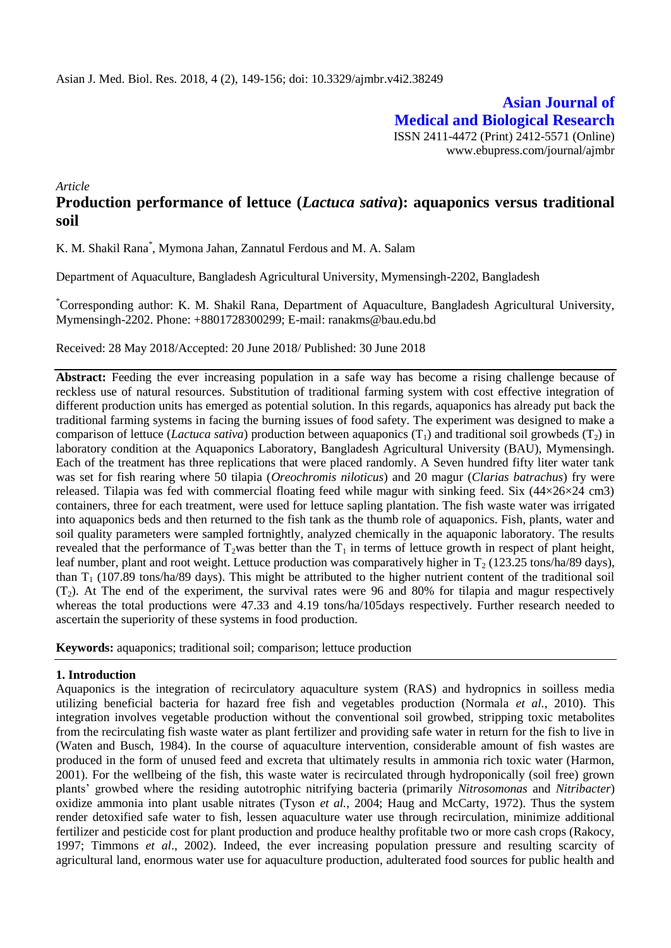**Asian Journal of Medical and Biological Research** ISSN 2411-4472 (Print) 2412-5571 (Online) www.ebupress.com/journal/ajmbr

*Article*

# **Production performance of lettuce (***Lactuca sativa***): aquaponics versus traditional soil**

K. M. Shakil Rana\* , Mymona Jahan, Zannatul Ferdous and M. A. Salam

Department of Aquaculture, Bangladesh Agricultural University, Mymensingh-2202, Bangladesh

\*Corresponding author: K. M. Shakil Rana, Department of Aquaculture, Bangladesh Agricultural University, Mymensingh-2202. Phone: +8801728300299; E-mail: ranakms@bau.edu.bd

Received: 28 May 2018/Accepted: 20 June 2018/ Published: 30 June 2018

**Abstract:** Feeding the ever increasing population in a safe way has become a rising challenge because of reckless use of natural resources. Substitution of traditional farming system with cost effective integration of different production units has emerged as potential solution. In this regards, aquaponics has already put back the traditional farming systems in facing the burning issues of food safety. The experiment was designed to make a comparison of lettuce (*Lactuca sativa*) production between aquaponics  $(T_1)$  and traditional soil growbeds  $(T_2)$  in laboratory condition at the Aquaponics Laboratory, Bangladesh Agricultural University (BAU), Mymensingh. Each of the treatment has three replications that were placed randomly. A Seven hundred fifty liter water tank was set for fish rearing where 50 tilapia (*Oreochromis niloticus*) and 20 magur (*Clarias batrachus*) fry were released. Tilapia was fed with commercial floating feed while magur with sinking feed. Six  $(44\times26\times24 \text{ cm}^3)$ containers, three for each treatment, were used for lettuce sapling plantation. The fish waste water was irrigated into aquaponics beds and then returned to the fish tank as the thumb role of aquaponics. Fish, plants, water and soil quality parameters were sampled fortnightly, analyzed chemically in the aquaponic laboratory. The results revealed that the performance of  $T_2$ was better than the  $T_1$  in terms of lettuce growth in respect of plant height, leaf number, plant and root weight. Lettuce production was comparatively higher in  $T_2$  (123.25 tons/ha/89 days), than  $T_1$  (107.89 tons/ha/89 days). This might be attributed to the higher nutrient content of the traditional soil  $(T<sub>2</sub>)$ . At The end of the experiment, the survival rates were 96 and 80% for tilapia and magur respectively whereas the total productions were 47.33 and 4.19 tons/ha/105days respectively. Further research needed to ascertain the superiority of these systems in food production.

**Keywords:** aquaponics; traditional soil; comparison; lettuce production

# **1. Introduction**

Aquaponics is the integration of recirculatory aquaculture system (RAS) and hydropnics in soilless media utilizing beneficial bacteria for hazard free fish and vegetables production (Normala *et al.*, 2010). This integration involves vegetable production without the conventional soil growbed, stripping toxic metabolites from the recirculating fish waste water as plant fertilizer and providing safe water in return for the fish to live in (Waten and Busch, 1984). In the course of aquaculture intervention, considerable amount of fish wastes are produced in the form of unused feed and excreta that ultimately results in ammonia rich toxic water (Harmon, 2001). For the wellbeing of the fish, this waste water is recirculated through hydroponically (soil free) grown plants' growbed where the residing autotrophic nitrifying bacteria (primarily *Nitrosomonas* and *Nitribacter*) oxidize ammonia into plant usable nitrates (Tyson *et al.*, 2004; Haug and McCarty, 1972). Thus the system render detoxified safe water to fish, lessen aquaculture water use through recirculation, minimize additional fertilizer and pesticide cost for plant production and produce healthy profitable two or more cash crops (Rakocy, 1997; Timmons *et al*., 2002). Indeed, the ever increasing population pressure and resulting scarcity of agricultural land, enormous water use for aquaculture production, adulterated food sources for public health and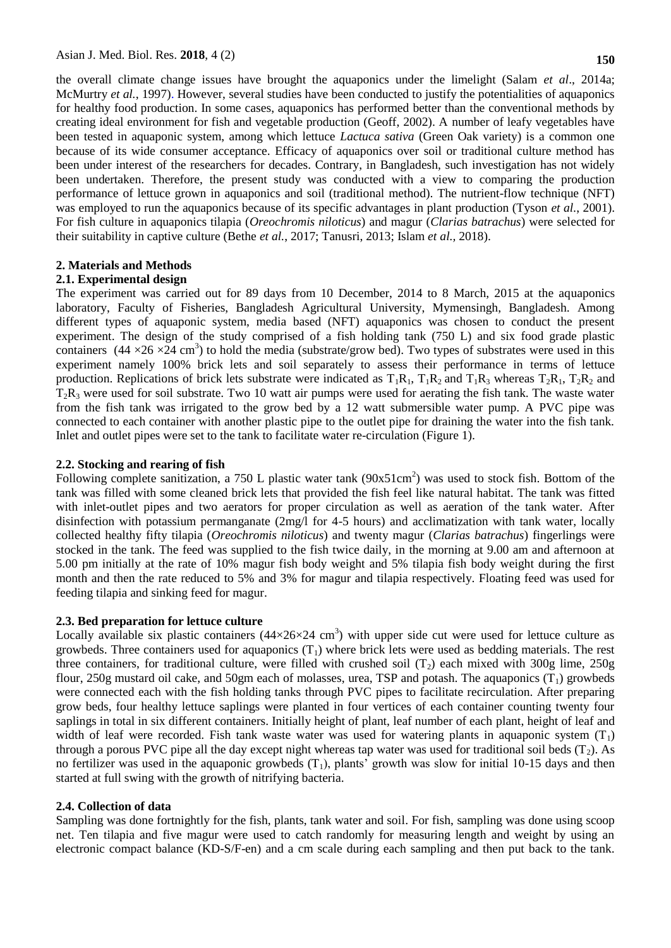the overall climate change issues have brought the aquaponics under the limelight (Salam *et al*., 2014a; McMurtry *et al.*, 1997). However, several studies have been conducted to justify the potentialities of aquaponics for healthy food production. In some cases, aquaponics has performed better than the conventional methods by creating ideal environment for fish and vegetable production (Geoff, 2002). A number of leafy vegetables have been tested in aquaponic system, among which lettuce *Lactuca sativa* (Green Oak variety) is a common one because of its wide consumer acceptance. Efficacy of aquaponics over soil or traditional culture method has been under interest of the researchers for decades. Contrary, in Bangladesh, such investigation has not widely been undertaken. Therefore, the present study was conducted with a view to comparing the production performance of lettuce grown in aquaponics and soil (traditional method). The nutrient-flow technique (NFT) was employed to run the aquaponics because of its specific advantages in plant production (Tyson *et al.*, 2001). For fish culture in aquaponics tilapia (*Oreochromis niloticus*) and magur (*Clarias batrachus*) were selected for their suitability in captive culture (Bethe *et al.*, 2017; Tanusri, 2013; Islam *et al.,* 2018).

# **2. Materials and Methods**

# **2.1. Experimental design**

The experiment was carried out for 89 days from 10 December, 2014 to 8 March, 2015 at the aquaponics laboratory, Faculty of Fisheries, Bangladesh Agricultural University, Mymensingh, Bangladesh. Among different types of aquaponic system, media based (NFT) aquaponics was chosen to conduct the present experiment. The design of the study comprised of a fish holding tank (750 L) and six food grade plastic containers  $(44 \times 26 \times 24 \text{ cm}^3)$  to hold the media (substrate/grow bed). Two types of substrates were used in this experiment namely 100% brick lets and soil separately to assess their performance in terms of lettuce production. Replications of brick lets substrate were indicated as  $T_1R_1$ ,  $T_1R_2$  and  $T_1R_3$  whereas  $T_2R_1$ ,  $T_2R_2$  and  $T_2R_3$  were used for soil substrate. Two 10 watt air pumps were used for aerating the fish tank. The waste water from the fish tank was irrigated to the grow bed by a 12 watt submersible water pump. A PVC pipe was connected to each container with another plastic pipe to the outlet pipe for draining the water into the fish tank. Inlet and outlet pipes were set to the tank to facilitate water re-circulation (Figure 1).

#### **2.2. Stocking and rearing of fish**

Following complete sanitization, a 750 L plastic water tank  $(90x51cm<sup>2</sup>)$  was used to stock fish. Bottom of the tank was filled with some cleaned brick lets that provided the fish feel like natural habitat. The tank was fitted with inlet-outlet pipes and two aerators for proper circulation as well as aeration of the tank water. After disinfection with potassium permanganate (2mg/l for 4-5 hours) and acclimatization with tank water, locally collected healthy fifty tilapia (*Oreochromis niloticus*) and twenty magur (*Clarias batrachus*) fingerlings were stocked in the tank. The feed was supplied to the fish twice daily, in the morning at 9.00 am and afternoon at 5.00 pm initially at the rate of 10% magur fish body weight and 5% tilapia fish body weight during the first month and then the rate reduced to 5% and 3% for magur and tilapia respectively. Floating feed was used for feeding tilapia and sinking feed for magur.

## **2.3. Bed preparation for lettuce culture**

Locally available six plastic containers  $(44\times26\times24 \text{ cm}^3)$  with upper side cut were used for lettuce culture as growbeds. Three containers used for aquaponics  $(T_1)$  where brick lets were used as bedding materials. The rest three containers, for traditional culture, were filled with crushed soil  $(T<sub>2</sub>)$  each mixed with 300g lime, 250g flour, 250g mustard oil cake, and 50gm each of molasses, urea, TSP and potash. The aquaponics  $(T_1)$  growbeds were connected each with the fish holding tanks through PVC pipes to facilitate recirculation. After preparing grow beds, four healthy lettuce saplings were planted in four vertices of each container counting twenty four saplings in total in six different containers. Initially height of plant, leaf number of each plant, height of leaf and width of leaf were recorded. Fish tank waste water was used for watering plants in aquaponic system  $(T_1)$ through a porous PVC pipe all the day except night whereas tap water was used for traditional soil beds  $(T_2)$ . As no fertilizer was used in the aquaponic growbeds  $(T_1)$ , plants' growth was slow for initial 10-15 days and then started at full swing with the growth of nitrifying bacteria.

#### **2.4. Collection of data**

Sampling was done fortnightly for the fish, plants, tank water and soil. For fish, sampling was done using scoop net. Ten tilapia and five magur were used to catch randomly for measuring length and weight by using an electronic compact balance (KD-S/F-en) and a cm scale during each sampling and then put back to the tank.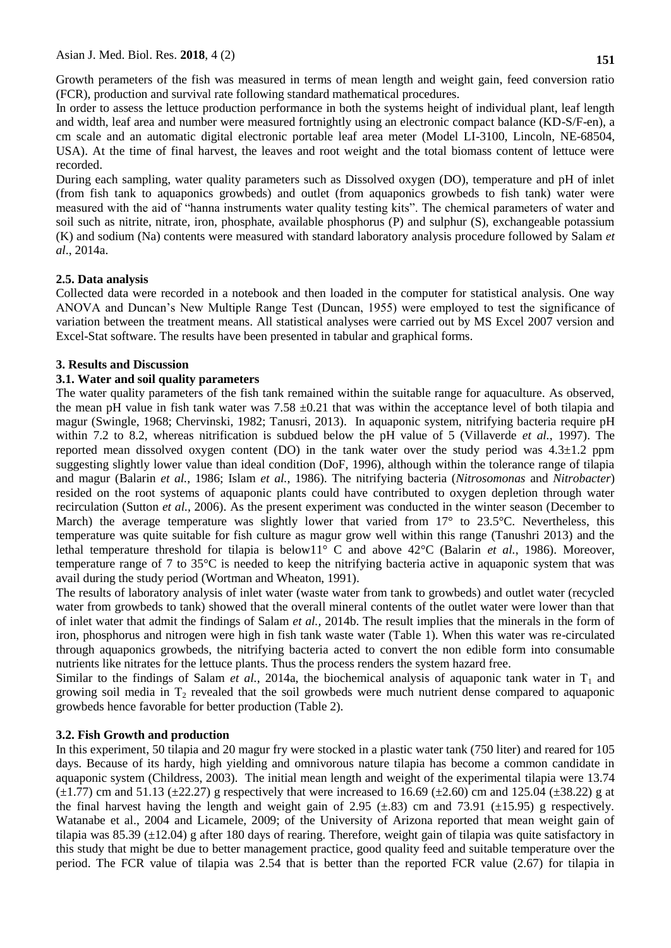Growth perameters of the fish was measured in terms of mean length and weight gain, feed conversion ratio (FCR), production and survival rate following standard mathematical procedures.

In order to assess the lettuce production performance in both the systems height of individual plant, leaf length and width, leaf area and number were measured fortnightly using an electronic compact balance (KD-S/F-en), a cm scale and an automatic digital electronic portable leaf area meter (Model LI-3100, Lincoln, NE-68504, USA). At the time of final harvest, the leaves and root weight and the total biomass content of lettuce were recorded.

During each sampling, water quality parameters such as Dissolved oxygen (DO), temperature and pH of inlet (from fish tank to aquaponics growbeds) and outlet (from aquaponics growbeds to fish tank) water were measured with the aid of "hanna instruments water quality testing kits". The chemical parameters of water and soil such as nitrite, nitrate, iron, phosphate, available phosphorus (P) and sulphur (S), exchangeable potassium (K) and sodium (Na) contents were measured with standard laboratory analysis procedure followed by Salam *et al*., 2014a.

## **2.5. Data analysis**

Collected data were recorded in a notebook and then loaded in the computer for statistical analysis. One way ANOVA and Duncan's New Multiple Range Test (Duncan, 1955) were employed to test the significance of variation between the treatment means. All statistical analyses were carried out by MS Excel 2007 version and Excel-Stat software. The results have been presented in tabular and graphical forms.

## **3. Results and Discussion**

### **3.1. Water and soil quality parameters**

The water quality parameters of the fish tank remained within the suitable range for aquaculture. As observed, the mean pH value in fish tank water was  $7.58 \pm 0.21$  that was within the acceptance level of both tilapia and magur (Swingle, 1968; Chervinski, 1982; Tanusri, 2013). In aquaponic system, nitrifying bacteria require pH within 7.2 to 8.2, whereas nitrification is subdued below the pH value of 5 (Villaverde *et al.*, 1997). The reported mean dissolved oxygen content (DO) in the tank water over the study period was  $4.3\pm1.2$  ppm suggesting slightly lower value than ideal condition (DoF, 1996), although within the tolerance range of tilapia and magur (Balarin *et al.*, 1986; Islam *et al.*, 1986). The nitrifying bacteria (*Nitrosomonas* and *Nitrobacter*) resided on the root systems of aquaponic plants could have contributed to oxygen depletion through water recirculation (Sutton *et al.,* 2006). As the present experiment was conducted in the winter season (December to March) the average temperature was slightly lower that varied from  $17^{\circ}$  to  $23.5^{\circ}$ C. Nevertheless, this temperature was quite suitable for fish culture as magur grow well within this range (Tanushri 2013) and the lethal temperature threshold for tilapia is below11° C and above 42°C (Balarin *et al.*, 1986). Moreover, temperature range of 7 to 35°C is needed to keep the nitrifying bacteria active in aquaponic system that was avail during the study period (Wortman and Wheaton, 1991).

The results of laboratory analysis of inlet water (waste water from tank to growbeds) and outlet water (recycled water from growbeds to tank) showed that the overall mineral contents of the outlet water were lower than that of inlet water that admit the findings of Salam *et al.,* 2014b. The result implies that the minerals in the form of iron, phosphorus and nitrogen were high in fish tank waste water (Table 1). When this water was re-circulated through aquaponics growbeds, the nitrifying bacteria acted to convert the non edible form into consumable nutrients like nitrates for the lettuce plants. Thus the process renders the system hazard free.

Similar to the findings of Salam *et al.*, 2014a, the biochemical analysis of aquaponic tank water in  $T_1$  and growing soil media in  $T_2$  revealed that the soil growbeds were much nutrient dense compared to aquaponic growbeds hence favorable for better production (Table 2).

### **3.2. Fish Growth and production**

In this experiment, 50 tilapia and 20 magur fry were stocked in a plastic water tank (750 liter) and reared for 105 days. Because of its hardy, high yielding and omnivorous nature tilapia has become a common candidate in aquaponic system (Childress, 2003). The initial mean length and weight of the experimental tilapia were 13.74  $(\pm 1.77)$  cm and 51.13 ( $\pm 22.27$ ) g respectively that were increased to 16.69 ( $\pm 2.60$ ) cm and 125.04 ( $\pm 38.22$ ) g at the final harvest having the length and weight gain of 2.95  $(\pm .83)$  cm and 73.91  $(\pm 15.95)$  g respectively. Watanabe et al., 2004 and Licamele, 2009; of the University of Arizona reported that mean weight gain of tilapia was 85.39 (±12.04) g after 180 days of rearing. Therefore, weight gain of tilapia was quite satisfactory in this study that might be due to better management practice, good quality feed and suitable temperature over the period. The FCR value of tilapia was 2.54 that is better than the reported FCR value (2.67) for tilapia in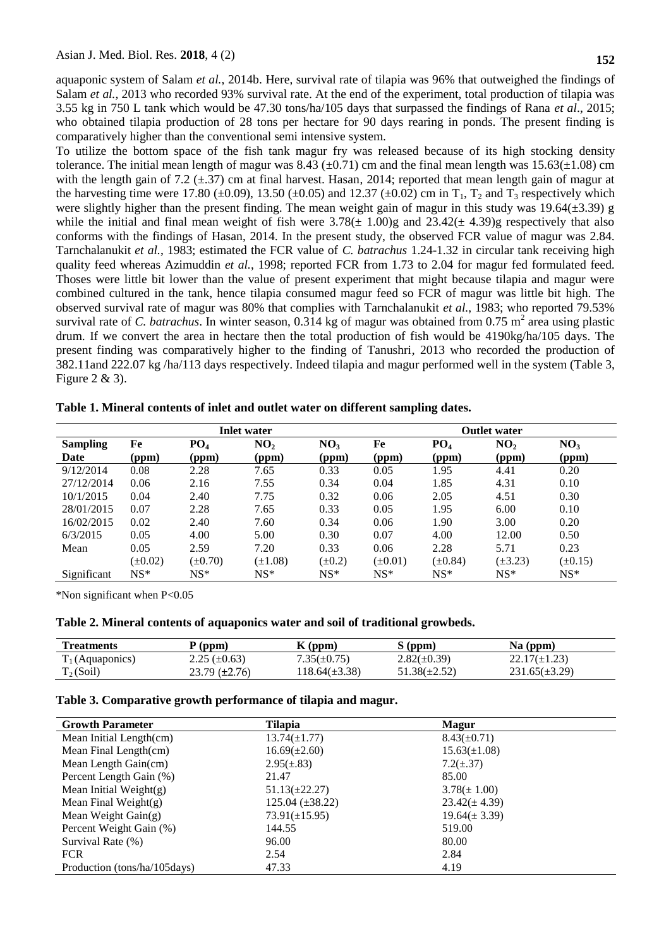aquaponic system of Salam *et al.*, 2014b. Here, survival rate of tilapia was 96% that outweighed the findings of Salam *et al.*, 2013 who recorded 93% survival rate. At the end of the experiment, total production of tilapia was 3.55 kg in 750 L tank which would be 47.30 tons/ha/105 days that surpassed the findings of Rana *et al*., 2015; who obtained tilapia production of 28 tons per hectare for 90 days rearing in ponds. The present finding is comparatively higher than the conventional semi intensive system.

To utilize the bottom space of the fish tank magur fry was released because of its high stocking density tolerance. The initial mean length of magur was  $8.43 \ (\pm 0.71)$  cm and the final mean length was  $15.63(\pm 1.08)$  cm with the length gain of 7.2 ( $\pm$ .37) cm at final harvest. Hasan, 2014; reported that mean length gain of magur at the harvesting time were 17.80 ( $\pm$ 0.09), 13.50 ( $\pm$ 0.05) and 12.37 ( $\pm$ 0.02) cm in T<sub>1</sub>, T<sub>2</sub> and T<sub>3</sub> respectively which were slightly higher than the present finding. The mean weight gain of magur in this study was 19.64( $\pm$ 3.39) g while the initial and final mean weight of fish were  $3.78(\pm 1.00)$ g and  $23.42(\pm 4.39)$ g respectively that also conforms with the findings of Hasan, 2014. In the present study, the observed FCR value of magur was 2.84. Tarnchalanukit *et al.*, 1983; estimated the FCR value of *C. batrachus* 1.24-1.32 in circular tank receiving high quality feed whereas Azimuddin *et al.*, 1998; reported FCR from 1.73 to 2.04 for magur fed formulated feed. Thoses were little bit lower than the value of present experiment that might because tilapia and magur were combined cultured in the tank, hence tilapia consumed magur feed so FCR of magur was little bit high. The observed survival rate of magur was 80% that complies with Tarnchalanukit *et al.*, 1983; who reported 79.53% survival rate of *C. batrachus*. In winter season,  $0.314$  kg of magur was obtained from  $0.75$  m<sup>2</sup> area using plastic drum. If we convert the area in hectare then the total production of fish would be 4190kg/ha/105 days. The present finding was comparatively higher to the finding of Tanushri, 2013 who recorded the production of 382.11and 222.07 kg /ha/113 days respectively. Indeed tilapia and magur performed well in the system (Table 3, Figure 2 & 3).

|                 | <b>Inlet water</b> |                 |                 |                 |              | <b>Outlet water</b> |                 |                 |  |  |
|-----------------|--------------------|-----------------|-----------------|-----------------|--------------|---------------------|-----------------|-----------------|--|--|
| <b>Sampling</b> | Fe                 | PO <sub>4</sub> | NO <sub>2</sub> | NO <sub>3</sub> | Fe           | PO <sub>4</sub>     | NO <sub>2</sub> | NO <sub>3</sub> |  |  |
| Date            | (ppm)              | (ppm)           | (ppm)           | (ppm)           | (ppm)        | (ppm)               | (ppm)           | (ppm)           |  |  |
| 9/12/2014       | 0.08               | 2.28            | 7.65            | 0.33            | 0.05         | 1.95                | 4.41            | 0.20            |  |  |
| 27/12/2014      | 0.06               | 2.16            | 7.55            | 0.34            | 0.04         | 1.85                | 4.31            | 0.10            |  |  |
| 10/1/2015       | 0.04               | 2.40            | 7.75            | 0.32            | 0.06         | 2.05                | 4.51            | 0.30            |  |  |
| 28/01/2015      | 0.07               | 2.28            | 7.65            | 0.33            | 0.05         | 1.95                | 6.00            | 0.10            |  |  |
| 16/02/2015      | 0.02               | 2.40            | 7.60            | 0.34            | 0.06         | 1.90                | 3.00            | 0.20            |  |  |
| 6/3/2015        | 0.05               | 4.00            | 5.00            | 0.30            | 0.07         | 4.00                | 12.00           | 0.50            |  |  |
| Mean            | 0.05               | 2.59            | 7.20            | 0.33            | 0.06         | 2.28                | 5.71            | 0.23            |  |  |
|                 | $(\pm 0.02)$       | $(\pm 0.70)$    | $(\pm 1.08)$    | $(\pm 0.2)$     | $(\pm 0.01)$ | $(\pm 0.84)$        | $(\pm 3.23)$    | $(\pm 0.15)$    |  |  |
| Significant     | $NS^*$             | $NS*$           | $NS*$           | $NS*$           | $NS*$        | $NS*$               | $NS*$           | $NS*$           |  |  |

**Table 1. Mineral contents of inlet and outlet water on different sampling dates.**

\*Non significant when P<0.05

**Table 2. Mineral contents of aquaponics water and soil of traditional growbeds.** 

| <b>Treatments</b>  | $P$ (ppm)            | $K$ (ppm)         | $S$ (ppm)         | $Na$ (ppm)         |  |
|--------------------|----------------------|-------------------|-------------------|--------------------|--|
| $T_1$ (Aquaponics) | $2.25 \ (\pm 0.63)$  | $7.35(\pm 0.75)$  | $2.82(\pm 0.39)$  | $22.17(\pm 1.23)$  |  |
| $T_2(Soil)$        | $23.79 \ (\pm 2.76)$ | $18.64(\pm 3.38)$ | $51.38(\pm 2.52)$ | $231.65(\pm 3.29)$ |  |

### **Table 3. Comparative growth performance of tilapia and magur.**

| <b>Growth Parameter</b>      | <b>Tilapia</b>       | <b>Magur</b>      |
|------------------------------|----------------------|-------------------|
| Mean Initial Length(cm)      | $13.74(\pm 1.77)$    | $8.43(\pm 0.71)$  |
| Mean Final Length(cm)        | $16.69(\pm 2.60)$    | $15.63(\pm 1.08)$ |
| Mean Length Gain(cm)         | $2.95(\pm .83)$      | $7.2(\pm .37)$    |
| Percent Length Gain (%)      | 21.47                | 85.00             |
| Mean Initial Weight $(g)$    | $51.13(\pm 22.27)$   | $3.78(\pm 1.00)$  |
| Mean Final Weight $(g)$      | $125.04 (\pm 38.22)$ | $23.42(\pm 4.39)$ |
| Mean Weight $Gain(g)$        | $73.91(\pm 15.95)$   | $19.64(\pm 3.39)$ |
| Percent Weight Gain (%)      | 144.55               | 519.00            |
| Survival Rate (%)            | 96.00                | 80.00             |
| <b>FCR</b>                   | 2.54                 | 2.84              |
| Production (tons/ha/105days) | 47.33                | 4.19              |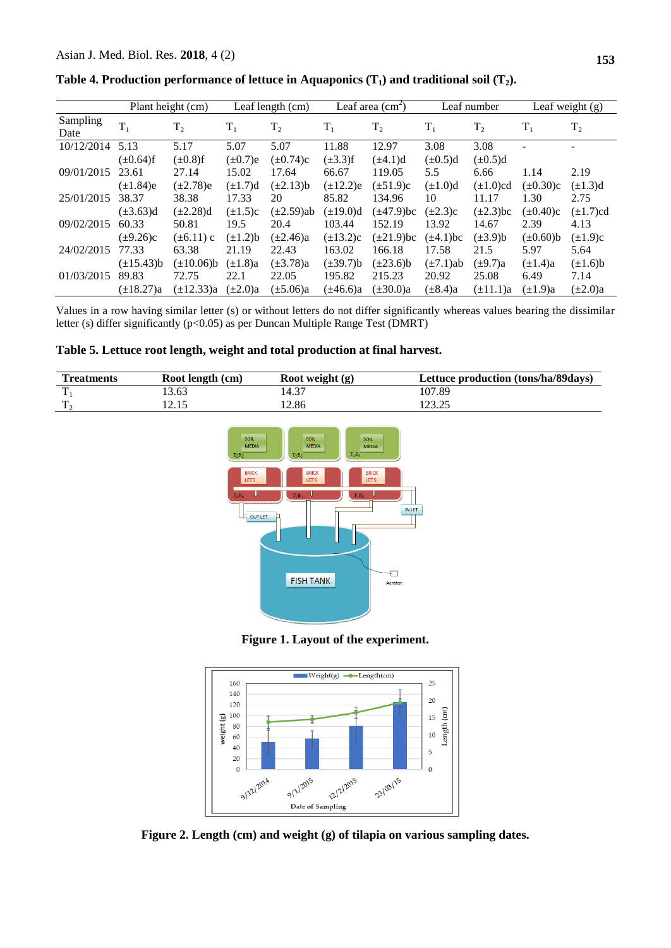|                  |                 | Plant height (cm) |               | Leaf length (cm) |                | Leaf area $(cm2)$ |                | Leaf number    |                | Leaf weight (g) |
|------------------|-----------------|-------------------|---------------|------------------|----------------|-------------------|----------------|----------------|----------------|-----------------|
| Sampling<br>Date | $T_1$           | $T_2$             | $T_1$         | $T_2$            | $T_1$          | T <sub>2</sub>    | $T_1$          | T <sub>2</sub> | $T_1$          | $T_2$           |
| 10/12/2014       | 5.13            | 5.17              | 5.07          | 5.07             | 11.88          | 12.97             | 3.08           | 3.08           |                |                 |
|                  | $(\pm 0.64)$ f  | $(\pm 0.8)$ f     | $(\pm 0.7)$ e | $(\pm 0.74)c$    | $(\pm 3.3)$ f  | $(\pm 4.1)d$      | $(\pm 0.5)d$   | $(\pm 0.5)d$   |                |                 |
| 09/01/2015       | 23.61           | 27.14             | 15.02         | 17.64            | 66.67          | 119.05            | 5.5            | 6.66           | 1.14           | 2.19            |
|                  | $(\pm 1.84)$ e  | $(\pm 2.78)$ e    | $(\pm 1.7)d$  | $(\pm 2.13)$ b   | $(\pm 12.2)e$  | $(\pm 51.9)c$     | $(\pm 1.0)d$   | $(\pm 1.0)$ cd | $(\pm 0.30)c$  | $(\pm 1.3)d$    |
| 25/01/2015       | 38.37           | 38.38             | 17.33         | 20               | 85.82          | 134.96            | 10             | 11.17          | 1.30           | 2.75            |
|                  | $(\pm 3.63)$ d  | $(\pm 2.28)$ d    | $(\pm 1.5)c$  | $(\pm 2.59)$ ab  | $(\pm 19.0)d$  | $(\pm 47.9)$ bc   | $(\pm 2.3)c$   | $(\pm 2.3)$ bc | $(\pm 0.40)c$  | $(\pm 1.7)$ cd  |
| 09/02/2015       | 60.33           | 50.81             | 19.5          | 20.4             | 103.44         | 152.19            | 13.92          | 14.67          | 2.39           | 4.13            |
|                  | $(\pm 9.26)c$   | $(\pm 6.11)$ c    | $(\pm 1.2)b$  | $(\pm 2.46)a$    | $(\pm 13.2)c$  | $(\pm 21.9)$ bc   | $(\pm 4.1)$ bc | $(\pm 3.9)$ b  | $(\pm 0.60)$ b | $(\pm 1.9)c$    |
| 24/02/2015       | 77.33           | 63.38             | 21.19         | 22.43            | 163.02         | 166.18            | 17.58          | 21.5           | 5.97           | 5.64            |
|                  | $(\pm 15.43)$ b | $(\pm 10.06) b$   | $(\pm 1.8)a$  | $(\pm 3.78)a$    | $(\pm 39.7) b$ | $(\pm 23.6)$ b    | $(\pm 7.1)$ ab | $(\pm 9.7)a$   | $(\pm 1.4)a$   | $(\pm 1.6)$ b   |
| 01/03/2015       | 89.83           | 72.75             | 22.1          | 22.05            | 195.82         | 215.23            | 20.92          | 25.08          | 6.49           | 7.14            |
|                  | $(\pm 18.27)a$  | $(\pm 12.33)a$    | $(\pm 2.0)a$  | $(\pm 5.06)a$    | $(\pm 46.6)a$  | $(\pm 30.0)a$     | $(\pm 8.4)$ a  | $(\pm 11.1)a$  | $(\pm 1.9)a$   | $(\pm 2.0)a$    |

**Table 4. Production performance of lettuce in Aquaponics (T1) and traditional soil (T2).**

Values in a row having similar letter (s) or without letters do not differ significantly whereas values bearing the dissimilar letter (s) differ significantly (p<0.05) as per Duncan Multiple Range Test (DMRT)

## **Table 5. Lettuce root length, weight and total production at final harvest.**

| <b>Treatments</b> | Root length (cm) | Root weight (g) | Lettuce production (tons/ha/89days) |
|-------------------|------------------|-----------------|-------------------------------------|
|                   | 13.63            | 14.37           | 107.89                              |
|                   | 12.15            | .2.86           | .                                   |



**Figure 1. Layout of the experiment.**



**Figure 2. Length (cm) and weight (g) of tilapia on various sampling dates.**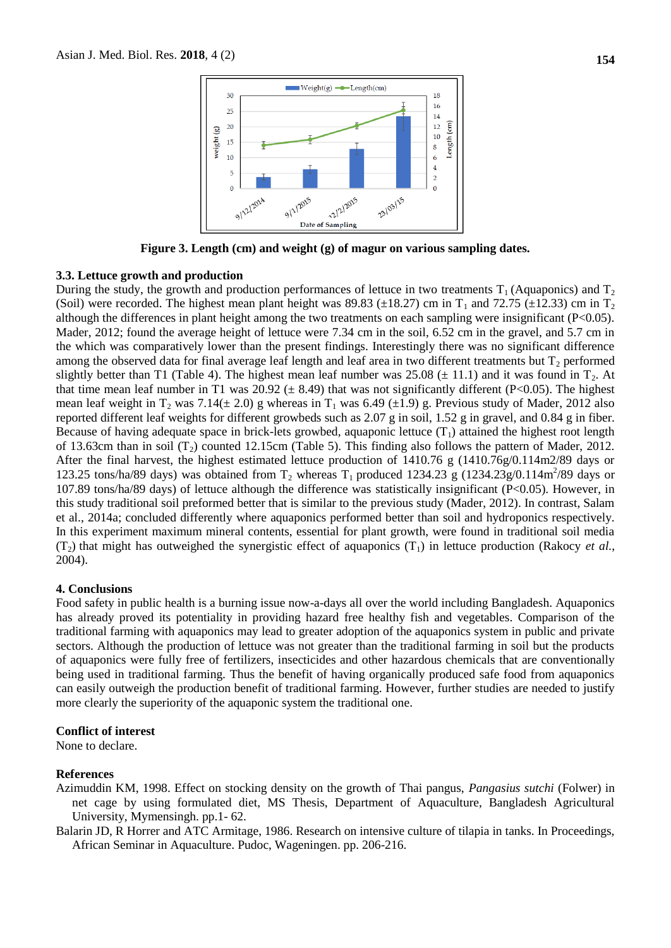

**Figure 3. Length (cm) and weight (g) of magur on various sampling dates.**

### **3.3. Lettuce growth and production**

During the study, the growth and production performances of lettuce in two treatments  $T_1$  (Aquaponics) and  $T_2$ (Soil) were recorded. The highest mean plant height was 89.83 ( $\pm$ 18.27) cm in T<sub>1</sub> and 72.75 ( $\pm$ 12.33) cm in T<sub>2</sub> although the differences in plant height among the two treatments on each sampling were insignificant (P<0.05). Mader, 2012; found the average height of lettuce were 7.34 cm in the soil, 6.52 cm in the gravel, and 5.7 cm in the which was comparatively lower than the present findings. Interestingly there was no significant difference among the observed data for final average leaf length and leaf area in two different treatments but  $T_2$  performed slightly better than T1 (Table 4). The highest mean leaf number was  $25.08 \ (\pm 11.1)$  and it was found in T<sub>2</sub>. At that time mean leaf number in T1 was 20.92  $(\pm 8.49)$  that was not significantly different (P<0.05). The highest mean leaf weight in  $T_2$  was 7.14( $\pm$  2.0) g whereas in  $T_1$  was 6.49 ( $\pm$ 1.9) g. Previous study of Mader, 2012 also reported different leaf weights for different growbeds such as 2.07 g in soil, 1.52 g in gravel, and 0.84 g in fiber. Because of having adequate space in brick-lets growbed, aquaponic lettuce  $(T_1)$  attained the highest root length of 13.63cm than in soil  $(T_2)$  counted 12.15cm (Table 5). This finding also follows the pattern of Mader, 2012. After the final harvest, the highest estimated lettuce production of 1410.76 g (1410.76g/0.114m2/89 days or 123.25 tons/ha/89 days) was obtained from  $T_2$  whereas  $T_1$  produced 1234.23 g (1234.23g/0.114m<sup>2</sup>/89 days or 107.89 tons/ha/89 days) of lettuce although the difference was statistically insignificant (P<0.05). However, in this study traditional soil preformed better that is similar to the previous study (Mader, 2012). In contrast, Salam et al., 2014a; concluded differently where aquaponics performed better than soil and hydroponics respectively. In this experiment maximum mineral contents, essential for plant growth, were found in traditional soil media  $(T_2)$  that might has outweighed the synergistic effect of aquaponics  $(T_1)$  in lettuce production (Rakocy *et al.*, 2004).

#### **4. Conclusions**

Food safety in public health is a burning issue now-a-days all over the world including Bangladesh. Aquaponics has already proved its potentiality in providing hazard free healthy fish and vegetables. Comparison of the traditional farming with aquaponics may lead to greater adoption of the aquaponics system in public and private sectors. Although the production of lettuce was not greater than the traditional farming in soil but the products of aquaponics were fully free of fertilizers, insecticides and other hazardous chemicals that are conventionally being used in traditional farming. Thus the benefit of having organically produced safe food from aquaponics can easily outweigh the production benefit of traditional farming. However, further studies are needed to justify more clearly the superiority of the aquaponic system the traditional one.

#### **Conflict of interest**

None to declare.

## **References**

- Azimuddin KM, 1998. Effect on stocking density on the growth of Thai pangus, *Pangasius sutchi* (Folwer) in net cage by using formulated diet, MS Thesis, Department of Aquaculture, Bangladesh Agricultural University, Mymensingh. pp.1- 62.
- Balarin JD, R Horrer and ATC Armitage, 1986. Research on intensive culture of tilapia in tanks. In Proceedings, African Seminar in Aquaculture. Pudoc, Wageningen. pp. 206-216.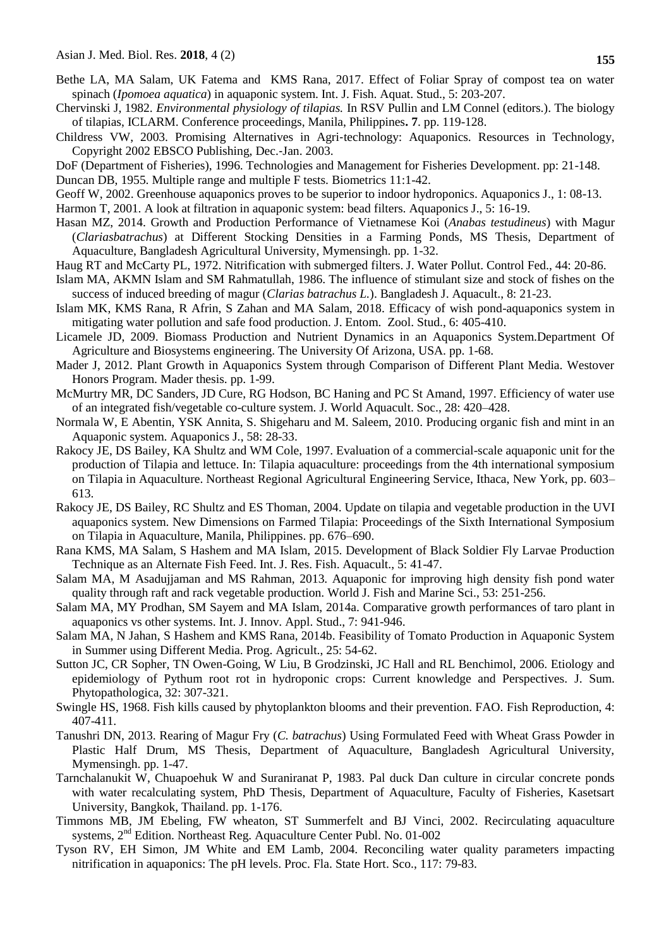- Bethe LA, MA Salam, UK Fatema and KMS Rana, 2017. Effect of Foliar Spray of compost tea on water spinach (*Ipomoea aquatica*) in aquaponic system. Int. J. Fish. Aquat. Stud., 5: 203-207.
- Chervinski J, 1982. *Environmental physiology of tilapias.* In RSV Pullin and LM Connel (editors.). The biology of tilapias, ICLARM. Conference proceedings, Manila, Philippines**. 7**. pp. 119-128.
- Childress VW, 2003. Promising Alternatives in Agri‐technology: Aquaponics. Resources in Technology, Copyright 2002 EBSCO Publishing, Dec.‐Jan. 2003.
- DoF (Department of Fisheries), 1996. Technologies and Management for Fisheries Development. pp: 21-148.

Duncan DB, 1955. Multiple range and multiple F tests. Biometrics 11:1-42.

Geoff W, 2002. Greenhouse aquaponics proves to be superior to indoor hydroponics. Aquaponics J., 1: 08-13.

Harmon T, 2001. A look at filtration in aquaponic system: bead filters. Aquaponics J., 5: 16-19.

- Hasan MZ, 2014. Growth and Production Performance of Vietnamese Koi (*Anabas testudineus*) with Magur (*Clariasbatrachus*) at Different Stocking Densities in a Farming Ponds, MS Thesis, Department of Aquaculture, Bangladesh Agricultural University, Mymensingh. pp. 1-32.
- Haug RT and McCarty PL, 1972. Nitrification with submerged filters. J. Water Pollut. Control Fed., 44: 20-86.
- Islam MA, AKMN Islam and SM Rahmatullah, 1986. The influence of stimulant size and stock of fishes on the success of induced breeding of magur (*Clarias batrachus L.*). Bangladesh J. Aquacult., 8: 21-23.
- Islam MK, KMS Rana, R Afrin, S Zahan and MA Salam, 2018. Efficacy of wish pond-aquaponics system in mitigating water pollution and safe food production. J. Entom. Zool. Stud., 6: 405-410.
- Licamele JD, 2009. Biomass Production and Nutrient Dynamics in an Aquaponics System.Department Of Agriculture and Biosystems engineering. The University Of Arizona, USA. pp. 1-68.
- Mader J, 2012. Plant Growth in Aquaponics System through Comparison of Different Plant Media. Westover Honors Program. Mader thesis. pp. 1-99.
- McMurtry MR, DC Sanders, JD Cure, RG Hodson, BC Haning and PC St Amand, 1997. Efficiency of water use of an integrated fish/vegetable co-culture system. J. World Aquacult. Soc., 28: 420–428.
- Normala W, E Abentin, YSK Annita, S. Shigeharu and M. Saleem, 2010. Producing organic fish and mint in an Aquaponic system. Aquaponics J., 58: 28-33.
- Rakocy JE, DS Bailey, KA Shultz and WM Cole, 1997. Evaluation of a commercial-scale aquaponic unit for the production of Tilapia and lettuce. In: Tilapia aquaculture: proceedings from the 4th international symposium on Tilapia in Aquaculture. Northeast Regional Agricultural Engineering Service, Ithaca, New York, pp. 603– 613.
- Rakocy JE, DS Bailey, RC Shultz and ES Thoman, 2004. Update on tilapia and vegetable production in the UVI aquaponics system. New Dimensions on Farmed Tilapia: Proceedings of the Sixth International Symposium on Tilapia in Aquaculture, Manila, Philippines. pp. 676–690.
- Rana KMS, MA Salam, S Hashem and MA Islam, 2015. Development of Black Soldier Fly Larvae Production Technique as an Alternate Fish Feed. Int. J. Res. Fish. Aquacult., 5: 41-47.
- Salam MA, M Asadujjaman and MS Rahman, 2013. Aquaponic for improving high density fish pond water quality through raft and rack vegetable production. World J. Fish and Marine Sci., 53: 251-256.
- Salam MA, MY Prodhan, SM Sayem and MA Islam, 2014a. Comparative growth performances of taro plant in aquaponics vs other systems. Int. J. Innov. Appl. Stud., 7: 941-946.
- Salam MA, N Jahan, S Hashem and KMS Rana, 2014b. Feasibility of Tomato Production in Aquaponic System in Summer using Different Media. Prog. Agricult., 25: 54-62.
- Sutton JC, CR Sopher, TN Owen-Going, W Liu, B Grodzinski, JC Hall and RL Benchimol, 2006. Etiology and epidemiology of Pythum root rot in hydroponic crops: Current knowledge and Perspectives. J. Sum. Phytopathologica, 32: 307-321.
- Swingle HS, 1968. Fish kills caused by phytoplankton blooms and their prevention. FAO. Fish Reproduction, 4: 407-411.
- Tanushri DN, 2013. Rearing of Magur Fry (*C. batrachus*) Using Formulated Feed with Wheat Grass Powder in Plastic Half Drum, MS Thesis, Department of Aquaculture, Bangladesh Agricultural University, Mymensingh. pp. 1-47.
- Tarnchalanukit W, Chuapoehuk W and Suraniranat P, 1983. Pal duck Dan culture in circular concrete ponds with water recalculating system, PhD Thesis, Department of Aquaculture, Faculty of Fisheries, Kasetsart University, Bangkok, Thailand. pp. 1-176.
- Timmons MB, JM Ebeling, FW wheaton, ST Summerfelt and BJ Vinci, 2002. Recirculating aquaculture systems, 2<sup>nd</sup> Edition. Northeast Reg. Aquaculture Center Publ. No. 01-002
- Tyson RV, EH Simon, JM White and EM Lamb, 2004. Reconciling water quality parameters impacting nitrification in aquaponics: The pH levels. Proc. Fla. State Hort. Sco., 117: 79-83.